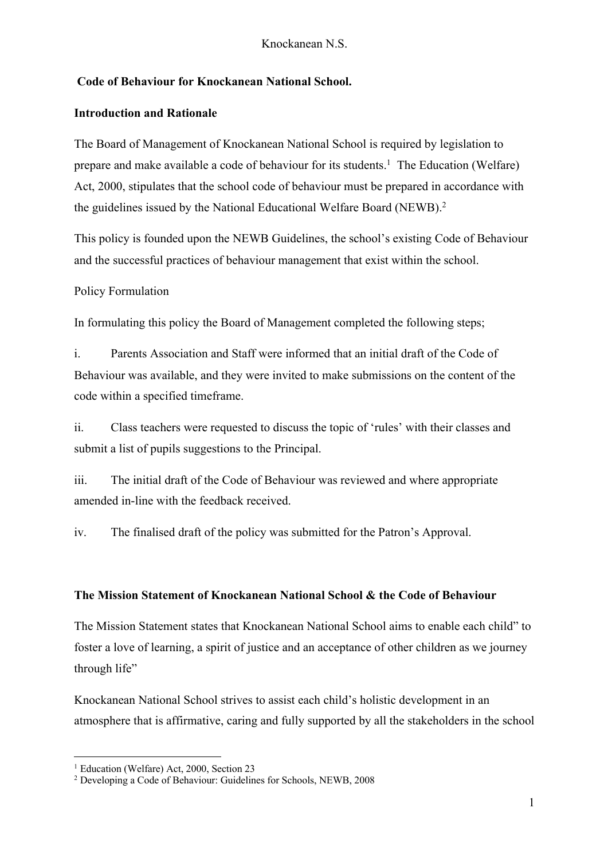## **Code of Behaviour for Knockanean National School.**

#### **Introduction and Rationale**

The Board of Management of Knockanean National School is required by legislation to prepare and make available a code of behaviour for its students.<sup>1</sup> The Education (Welfare) Act, 2000, stipulates that the school code of behaviour must be prepared in accordance with the guidelines issued by the National Educational Welfare Board (NEWB).2

This policy is founded upon the NEWB Guidelines, the school's existing Code of Behaviour and the successful practices of behaviour management that exist within the school.

#### Policy Formulation

In formulating this policy the Board of Management completed the following steps;

i. Parents Association and Staff were informed that an initial draft of the Code of Behaviour was available, and they were invited to make submissions on the content of the code within a specified timeframe.

ii. Class teachers were requested to discuss the topic of 'rules' with their classes and submit a list of pupils suggestions to the Principal.

iii. The initial draft of the Code of Behaviour was reviewed and where appropriate amended in-line with the feedback received.

iv. The finalised draft of the policy was submitted for the Patron's Approval.

#### **The Mission Statement of Knockanean National School & the Code of Behaviour**

The Mission Statement states that Knockanean National School aims to enable each child" to foster a love of learning, a spirit of justice and an acceptance of other children as we journey through life"

Knockanean National School strives to assist each child's holistic development in an atmosphere that is affirmative, caring and fully supported by all the stakeholders in the school

<sup>&</sup>lt;sup>1</sup> Education (Welfare) Act, 2000, Section 23

<sup>2</sup> Developing a Code of Behaviour: Guidelines for Schools, NEWB, 2008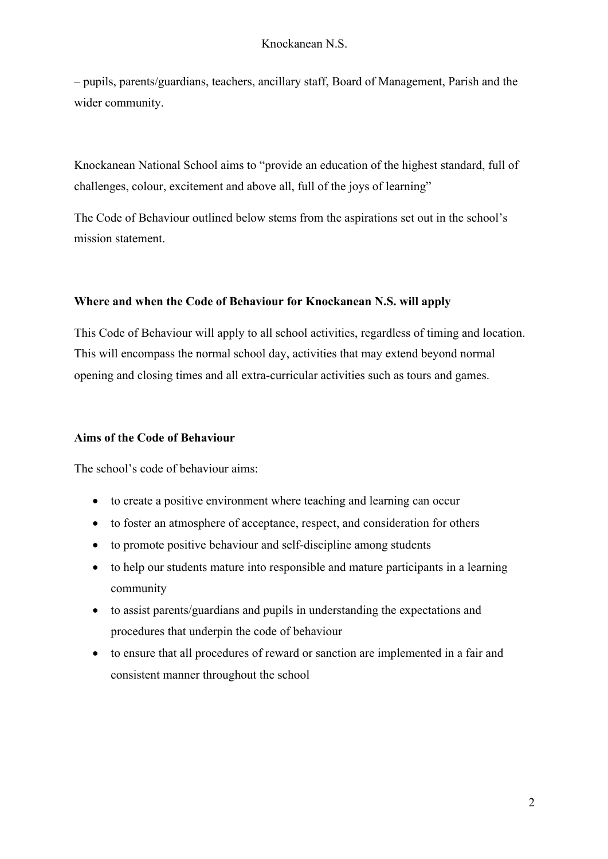– pupils, parents/guardians, teachers, ancillary staff, Board of Management, Parish and the wider community.

Knockanean National School aims to "provide an education of the highest standard, full of challenges, colour, excitement and above all, full of the joys of learning"

The Code of Behaviour outlined below stems from the aspirations set out in the school's mission statement.

#### **Where and when the Code of Behaviour for Knockanean N.S. will apply**

This Code of Behaviour will apply to all school activities, regardless of timing and location. This will encompass the normal school day, activities that may extend beyond normal opening and closing times and all extra-curricular activities such as tours and games.

#### **Aims of the Code of Behaviour**

The school's code of behaviour aims:

- to create a positive environment where teaching and learning can occur
- to foster an atmosphere of acceptance, respect, and consideration for others
- to promote positive behaviour and self-discipline among students
- to help our students mature into responsible and mature participants in a learning community
- to assist parents/guardians and pupils in understanding the expectations and procedures that underpin the code of behaviour
- to ensure that all procedures of reward or sanction are implemented in a fair and consistent manner throughout the school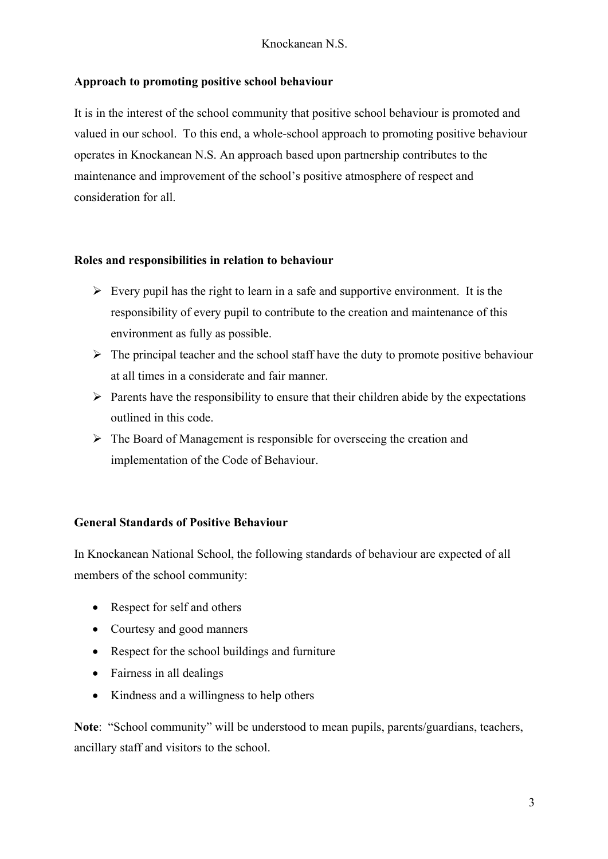## **Approach to promoting positive school behaviour**

It is in the interest of the school community that positive school behaviour is promoted and valued in our school. To this end, a whole-school approach to promoting positive behaviour operates in Knockanean N.S. An approach based upon partnership contributes to the maintenance and improvement of the school's positive atmosphere of respect and consideration for all.

### **Roles and responsibilities in relation to behaviour**

- $\triangleright$  Every pupil has the right to learn in a safe and supportive environment. It is the responsibility of every pupil to contribute to the creation and maintenance of this environment as fully as possible.
- $\triangleright$  The principal teacher and the school staff have the duty to promote positive behaviour at all times in a considerate and fair manner.
- $\triangleright$  Parents have the responsibility to ensure that their children abide by the expectations outlined in this code.
- $\triangleright$  The Board of Management is responsible for overseeing the creation and implementation of the Code of Behaviour.

### **General Standards of Positive Behaviour**

In Knockanean National School, the following standards of behaviour are expected of all members of the school community:

- Respect for self and others
- Courtesy and good manners
- Respect for the school buildings and furniture
- Fairness in all dealings
- Kindness and a willingness to help others

**Note**: "School community" will be understood to mean pupils, parents/guardians, teachers, ancillary staff and visitors to the school.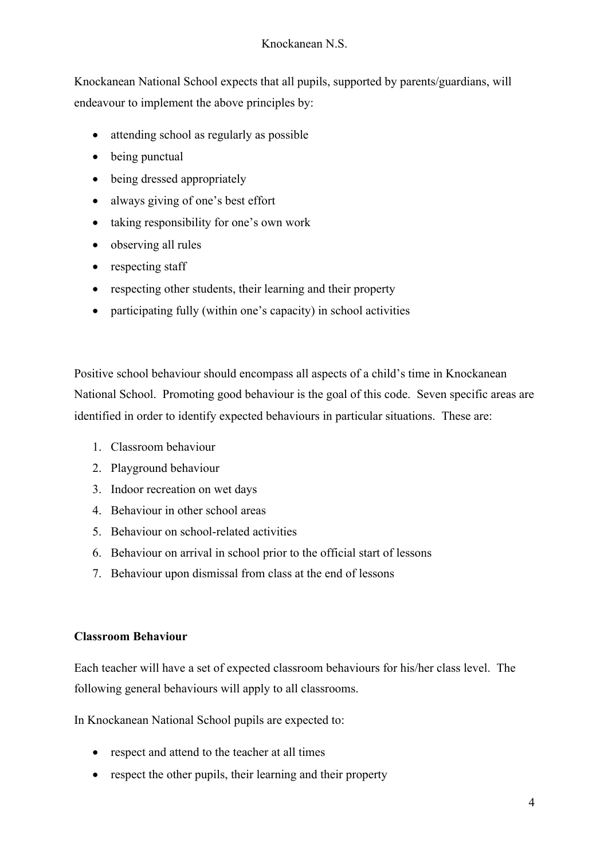Knockanean National School expects that all pupils, supported by parents/guardians, will endeavour to implement the above principles by:

- attending school as regularly as possible
- being punctual
- being dressed appropriately
- always giving of one's best effort
- taking responsibility for one's own work
- observing all rules
- respecting staff
- respecting other students, their learning and their property
- participating fully (within one's capacity) in school activities

Positive school behaviour should encompass all aspects of a child's time in Knockanean National School. Promoting good behaviour is the goal of this code. Seven specific areas are identified in order to identify expected behaviours in particular situations. These are:

- 1. Classroom behaviour
- 2. Playground behaviour
- 3. Indoor recreation on wet days
- 4. Behaviour in other school areas
- 5. Behaviour on school-related activities
- 6. Behaviour on arrival in school prior to the official start of lessons
- 7. Behaviour upon dismissal from class at the end of lessons

## **Classroom Behaviour**

Each teacher will have a set of expected classroom behaviours for his/her class level. The following general behaviours will apply to all classrooms.

In Knockanean National School pupils are expected to:

- respect and attend to the teacher at all times
- respect the other pupils, their learning and their property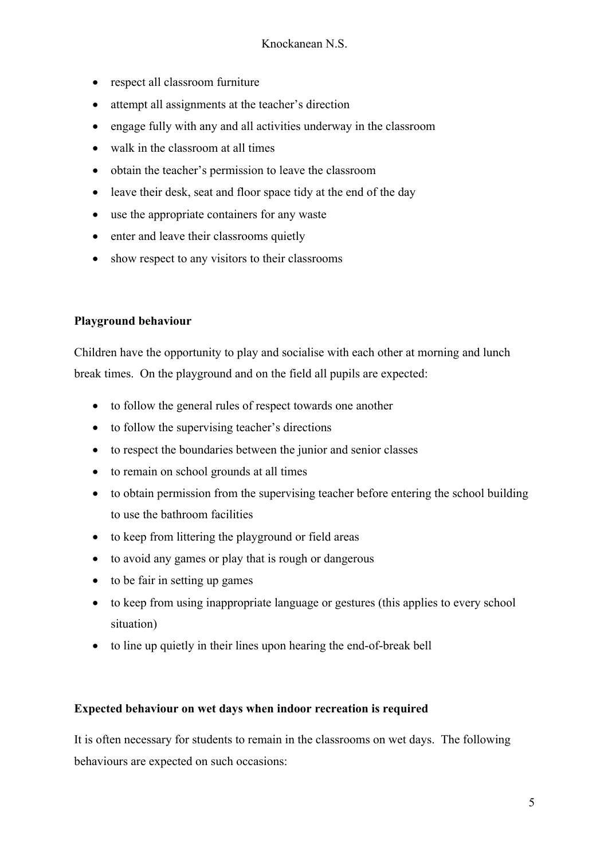- respect all classroom furniture
- attempt all assignments at the teacher's direction
- engage fully with any and all activities underway in the classroom
- walk in the classroom at all times
- obtain the teacher's permission to leave the classroom
- leave their desk, seat and floor space tidy at the end of the day
- use the appropriate containers for any waste
- enter and leave their classrooms quietly
- show respect to any visitors to their classrooms

## **Playground behaviour**

Children have the opportunity to play and socialise with each other at morning and lunch break times. On the playground and on the field all pupils are expected:

- to follow the general rules of respect towards one another
- to follow the supervising teacher's directions
- to respect the boundaries between the junior and senior classes
- to remain on school grounds at all times
- to obtain permission from the supervising teacher before entering the school building to use the bathroom facilities
- to keep from littering the playground or field areas
- to avoid any games or play that is rough or dangerous
- to be fair in setting up games
- to keep from using inappropriate language or gestures (this applies to every school situation)
- to line up quietly in their lines upon hearing the end-of-break bell

### **Expected behaviour on wet days when indoor recreation is required**

It is often necessary for students to remain in the classrooms on wet days. The following behaviours are expected on such occasions: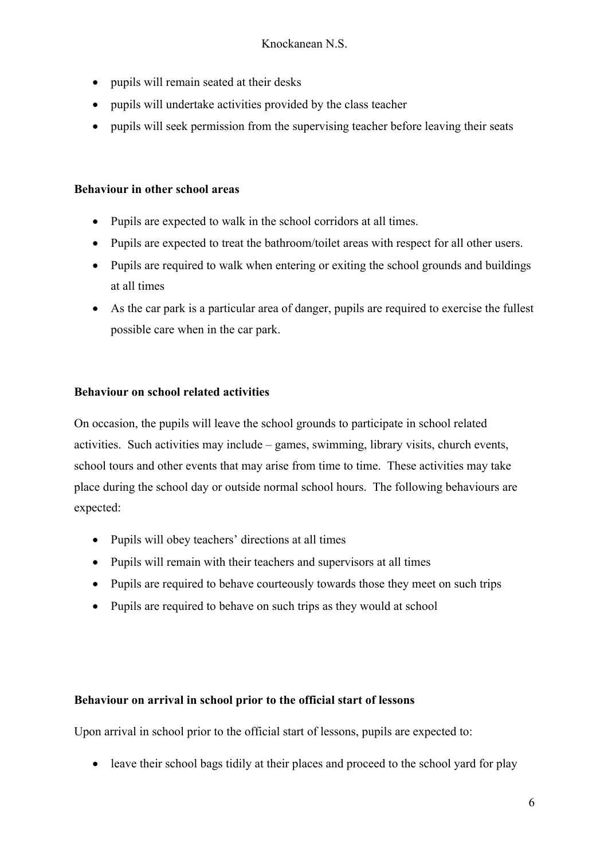- pupils will remain seated at their desks
- pupils will undertake activities provided by the class teacher
- pupils will seek permission from the supervising teacher before leaving their seats

#### **Behaviour in other school areas**

- Pupils are expected to walk in the school corridors at all times.
- Pupils are expected to treat the bathroom/toilet areas with respect for all other users.
- Pupils are required to walk when entering or exiting the school grounds and buildings at all times
- As the car park is a particular area of danger, pupils are required to exercise the fullest possible care when in the car park.

#### **Behaviour on school related activities**

On occasion, the pupils will leave the school grounds to participate in school related activities. Such activities may include – games, swimming, library visits, church events, school tours and other events that may arise from time to time. These activities may take place during the school day or outside normal school hours. The following behaviours are expected:

- Pupils will obey teachers' directions at all times
- Pupils will remain with their teachers and supervisors at all times
- Pupils are required to behave courteously towards those they meet on such trips
- Pupils are required to behave on such trips as they would at school

## **Behaviour on arrival in school prior to the official start of lessons**

Upon arrival in school prior to the official start of lessons, pupils are expected to:

• leave their school bags tidily at their places and proceed to the school yard for play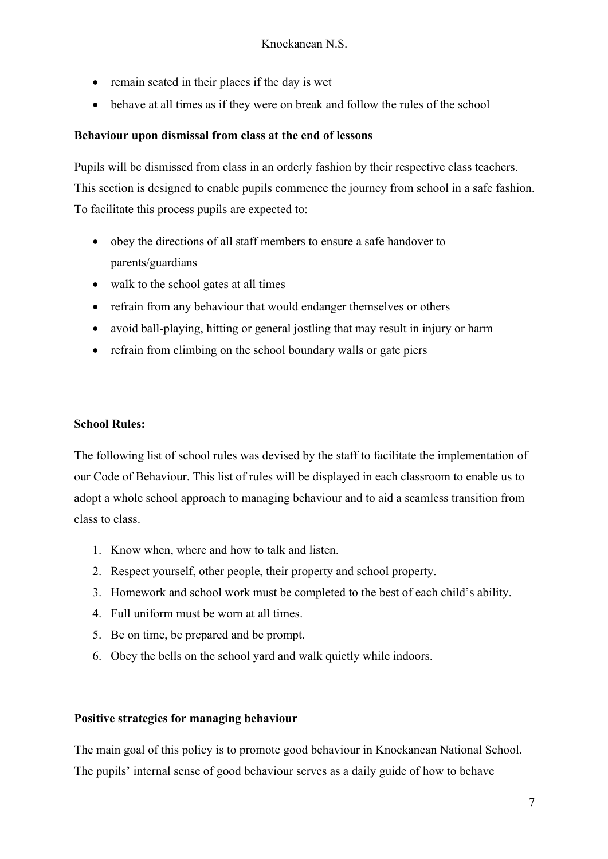- remain seated in their places if the day is wet
- behave at all times as if they were on break and follow the rules of the school

#### **Behaviour upon dismissal from class at the end of lessons**

Pupils will be dismissed from class in an orderly fashion by their respective class teachers. This section is designed to enable pupils commence the journey from school in a safe fashion. To facilitate this process pupils are expected to:

- obey the directions of all staff members to ensure a safe handover to parents/guardians
- walk to the school gates at all times
- refrain from any behaviour that would endanger themselves or others
- avoid ball-playing, hitting or general jostling that may result in injury or harm
- refrain from climbing on the school boundary walls or gate piers

#### **School Rules:**

The following list of school rules was devised by the staff to facilitate the implementation of our Code of Behaviour. This list of rules will be displayed in each classroom to enable us to adopt a whole school approach to managing behaviour and to aid a seamless transition from class to class.

- 1. Know when, where and how to talk and listen.
- 2. Respect yourself, other people, their property and school property.
- 3. Homework and school work must be completed to the best of each child's ability.
- 4. Full uniform must be worn at all times.
- 5. Be on time, be prepared and be prompt.
- 6. Obey the bells on the school yard and walk quietly while indoors.

#### **Positive strategies for managing behaviour**

The main goal of this policy is to promote good behaviour in Knockanean National School. The pupils' internal sense of good behaviour serves as a daily guide of how to behave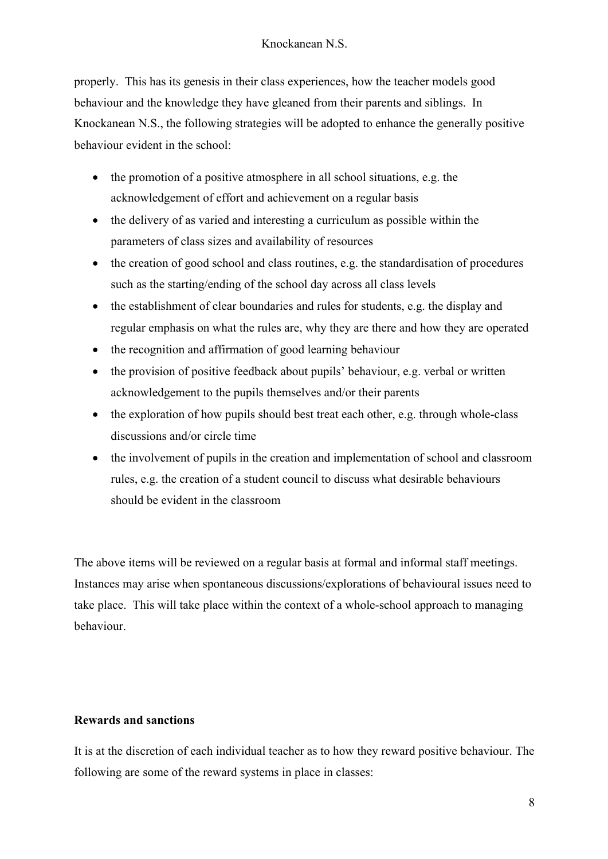properly. This has its genesis in their class experiences, how the teacher models good behaviour and the knowledge they have gleaned from their parents and siblings. In Knockanean N.S., the following strategies will be adopted to enhance the generally positive behaviour evident in the school:

- the promotion of a positive atmosphere in all school situations, e.g. the acknowledgement of effort and achievement on a regular basis
- the delivery of as varied and interesting a curriculum as possible within the parameters of class sizes and availability of resources
- the creation of good school and class routines, e.g. the standardisation of procedures such as the starting/ending of the school day across all class levels
- the establishment of clear boundaries and rules for students, e.g. the display and regular emphasis on what the rules are, why they are there and how they are operated
- the recognition and affirmation of good learning behaviour
- the provision of positive feedback about pupils' behaviour, e.g. verbal or written acknowledgement to the pupils themselves and/or their parents
- the exploration of how pupils should best treat each other, e.g. through whole-class discussions and/or circle time
- the involvement of pupils in the creation and implementation of school and classroom rules, e.g. the creation of a student council to discuss what desirable behaviours should be evident in the classroom

The above items will be reviewed on a regular basis at formal and informal staff meetings. Instances may arise when spontaneous discussions/explorations of behavioural issues need to take place. This will take place within the context of a whole-school approach to managing behaviour.

## **Rewards and sanctions**

It is at the discretion of each individual teacher as to how they reward positive behaviour. The following are some of the reward systems in place in classes: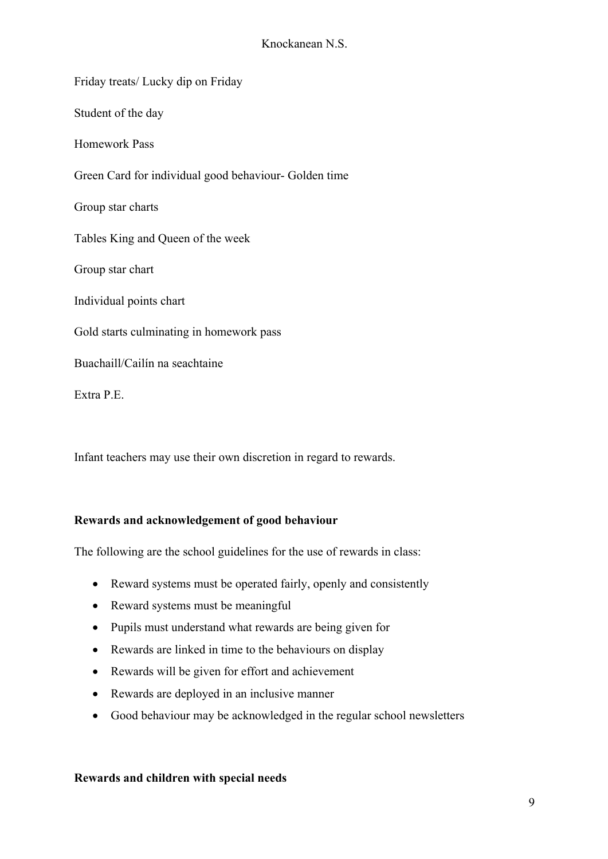Friday treats/ Lucky dip on Friday Student of the day Homework Pass Green Card for individual good behaviour- Golden time Group star charts Tables King and Queen of the week Group star chart Individual points chart Gold starts culminating in homework pass Buachaill/Cailín na seachtaine Extra P.E.

Infant teachers may use their own discretion in regard to rewards.

### **Rewards and acknowledgement of good behaviour**

The following are the school guidelines for the use of rewards in class:

- Reward systems must be operated fairly, openly and consistently
- Reward systems must be meaningful
- Pupils must understand what rewards are being given for
- Rewards are linked in time to the behaviours on display
- Rewards will be given for effort and achievement
- Rewards are deployed in an inclusive manner
- Good behaviour may be acknowledged in the regular school newsletters

#### **Rewards and children with special needs**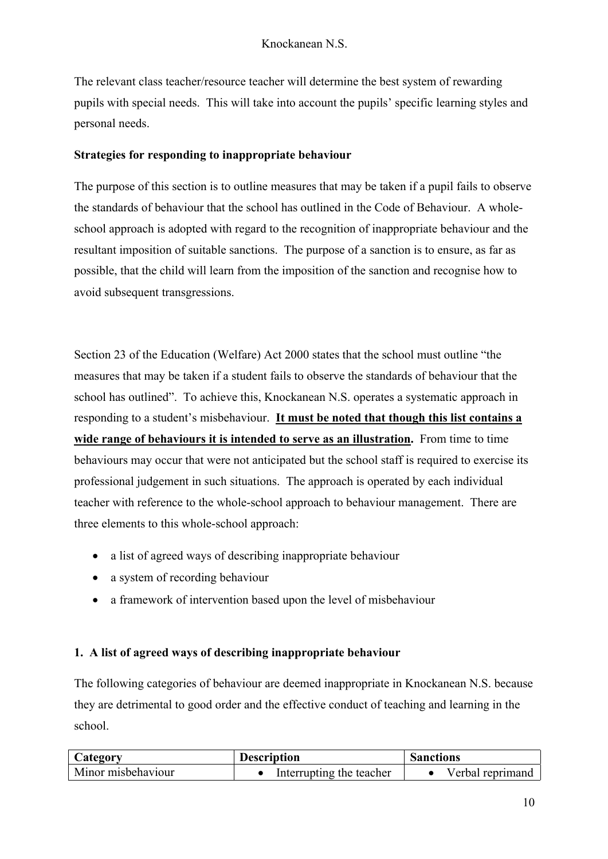The relevant class teacher/resource teacher will determine the best system of rewarding pupils with special needs. This will take into account the pupils' specific learning styles and personal needs.

### **Strategies for responding to inappropriate behaviour**

The purpose of this section is to outline measures that may be taken if a pupil fails to observe the standards of behaviour that the school has outlined in the Code of Behaviour. A wholeschool approach is adopted with regard to the recognition of inappropriate behaviour and the resultant imposition of suitable sanctions. The purpose of a sanction is to ensure, as far as possible, that the child will learn from the imposition of the sanction and recognise how to avoid subsequent transgressions.

Section 23 of the Education (Welfare) Act 2000 states that the school must outline "the measures that may be taken if a student fails to observe the standards of behaviour that the school has outlined". To achieve this, Knockanean N.S. operates a systematic approach in responding to a student's misbehaviour. **It must be noted that though this list contains a wide range of behaviours it is intended to serve as an illustration.** From time to time behaviours may occur that were not anticipated but the school staff is required to exercise its professional judgement in such situations. The approach is operated by each individual teacher with reference to the whole-school approach to behaviour management. There are three elements to this whole-school approach:

- a list of agreed ways of describing inappropriate behaviour
- a system of recording behaviour
- a framework of intervention based upon the level of misbehaviour

## **1. A list of agreed ways of describing inappropriate behaviour**

The following categories of behaviour are deemed inappropriate in Knockanean N.S. because they are detrimental to good order and the effective conduct of teaching and learning in the school.

| Category           | <b>Description</b>       | <b>Sanctions</b> |  |
|--------------------|--------------------------|------------------|--|
| Minor misbehaviour | Interrupting the teacher | Verbal reprimand |  |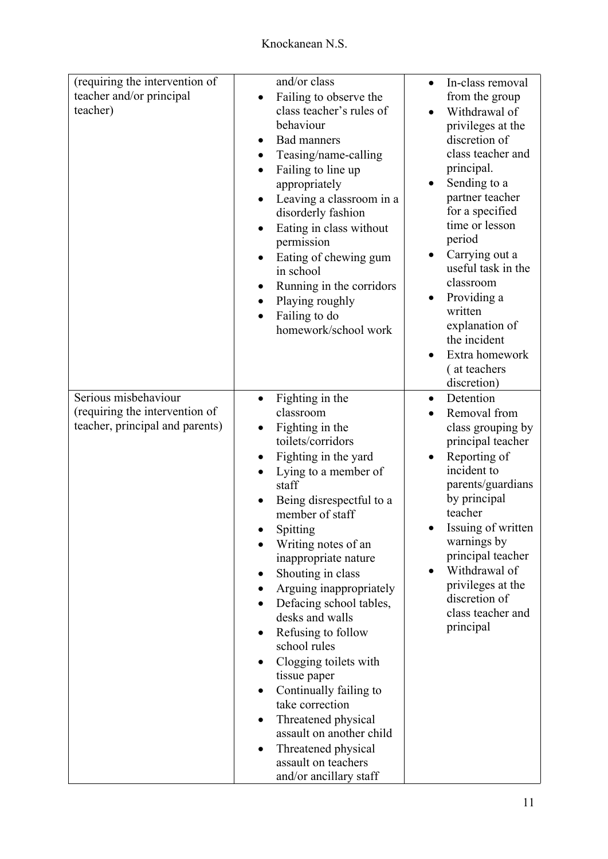| (requiring the intervention of  | and/or class                                    | In-class removal<br>$\bullet$      |
|---------------------------------|-------------------------------------------------|------------------------------------|
| teacher and/or principal        | Failing to observe the                          | from the group                     |
| teacher)                        | class teacher's rules of                        | Withdrawal of                      |
|                                 | behaviour                                       | privileges at the                  |
|                                 | <b>Bad manners</b>                              | discretion of                      |
|                                 | Teasing/name-calling                            | class teacher and                  |
|                                 | Failing to line up                              | principal.                         |
|                                 | appropriately                                   | Sending to a                       |
|                                 | Leaving a classroom in a                        | partner teacher                    |
|                                 | disorderly fashion                              | for a specified                    |
|                                 | Eating in class without                         | time or lesson                     |
|                                 | permission                                      | period                             |
|                                 | Eating of chewing gum                           | Carrying out a                     |
|                                 | in school                                       | useful task in the                 |
|                                 | Running in the corridors                        | classroom                          |
|                                 | Playing roughly                                 | Providing a                        |
|                                 | Failing to do                                   | written<br>explanation of          |
|                                 | homework/school work                            | the incident                       |
|                                 |                                                 | Extra homework                     |
|                                 |                                                 | (at teachers                       |
|                                 |                                                 | discretion)                        |
| Serious misbehaviour            | Fighting in the<br>$\bullet$                    | Detention<br>$\bullet$             |
| (requiring the intervention of  | classroom                                       | Removal from                       |
| teacher, principal and parents) | Fighting in the                                 | class grouping by                  |
|                                 | toilets/corridors                               | principal teacher                  |
|                                 | Fighting in the yard                            | Reporting of                       |
|                                 | Lying to a member of                            | incident to                        |
|                                 | staff                                           | parents/guardians                  |
|                                 | Being disrespectful to a                        | by principal                       |
|                                 | member of staff                                 | teacher                            |
|                                 | Spitting                                        | Issuing of written                 |
|                                 | Writing notes of an                             | warnings by                        |
|                                 | inappropriate nature                            | principal teacher                  |
|                                 | Shouting in class                               | Withdrawal of                      |
|                                 | Arguing inappropriately                         | privileges at the                  |
|                                 | Defacing school tables,                         | discretion of<br>class teacher and |
|                                 | desks and walls                                 | principal                          |
|                                 | Refusing to follow                              |                                    |
|                                 | school rules                                    |                                    |
|                                 | Clogging toilets with                           |                                    |
|                                 | tissue paper                                    |                                    |
|                                 | Continually failing to<br>take correction       |                                    |
|                                 |                                                 |                                    |
|                                 | Threatened physical<br>assault on another child |                                    |
|                                 |                                                 |                                    |
|                                 | Threatened physical<br>assault on teachers      |                                    |
|                                 | and/or ancillary staff                          |                                    |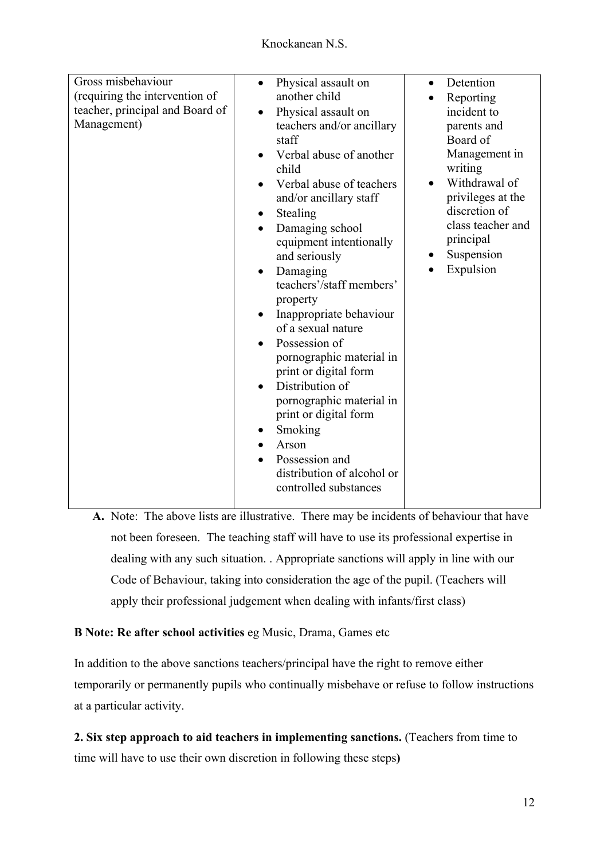| Gross misbehaviour<br>(requiring the intervention of<br>teacher, principal and Board of<br>Management) | Physical assault on<br>$\bullet$<br>another child<br>Physical assault on<br>$\bullet$<br>teachers and/or ancillary<br>staff<br>Verbal abuse of another<br>child<br>Verbal abuse of teachers<br>and/or ancillary staff<br>Stealing<br>Damaging school<br>equipment intentionally<br>and seriously<br>Damaging<br>$\bullet$<br>teachers'/staff members'<br>property<br>Inappropriate behaviour<br>$\bullet$<br>of a sexual nature<br>Possession of<br>$\bullet$<br>pornographic material in<br>print or digital form<br>Distribution of<br>pornographic material in<br>print or digital form<br>Smoking<br>Arson<br>Possession and<br>distribution of alcohol or<br>controlled substances | Detention<br>$\bullet$<br>Reporting<br>incident to<br>parents and<br>Board of<br>Management in<br>writing<br>Withdrawal of<br>privileges at the<br>discretion of<br>class teacher and<br>principal<br>Suspension<br>Expulsion |
|--------------------------------------------------------------------------------------------------------|-----------------------------------------------------------------------------------------------------------------------------------------------------------------------------------------------------------------------------------------------------------------------------------------------------------------------------------------------------------------------------------------------------------------------------------------------------------------------------------------------------------------------------------------------------------------------------------------------------------------------------------------------------------------------------------------|-------------------------------------------------------------------------------------------------------------------------------------------------------------------------------------------------------------------------------|

**A.** Note: The above lists are illustrative. There may be incidents of behaviour that have not been foreseen. The teaching staff will have to use its professional expertise in dealing with any such situation. . Appropriate sanctions will apply in line with our Code of Behaviour, taking into consideration the age of the pupil. (Teachers will apply their professional judgement when dealing with infants/first class)

## **B Note: Re after school activities** eg Music, Drama, Games etc

In addition to the above sanctions teachers/principal have the right to remove either temporarily or permanently pupils who continually misbehave or refuse to follow instructions at a particular activity.

**2. Six step approach to aid teachers in implementing sanctions.** (Teachers from time to time will have to use their own discretion in following these steps**)**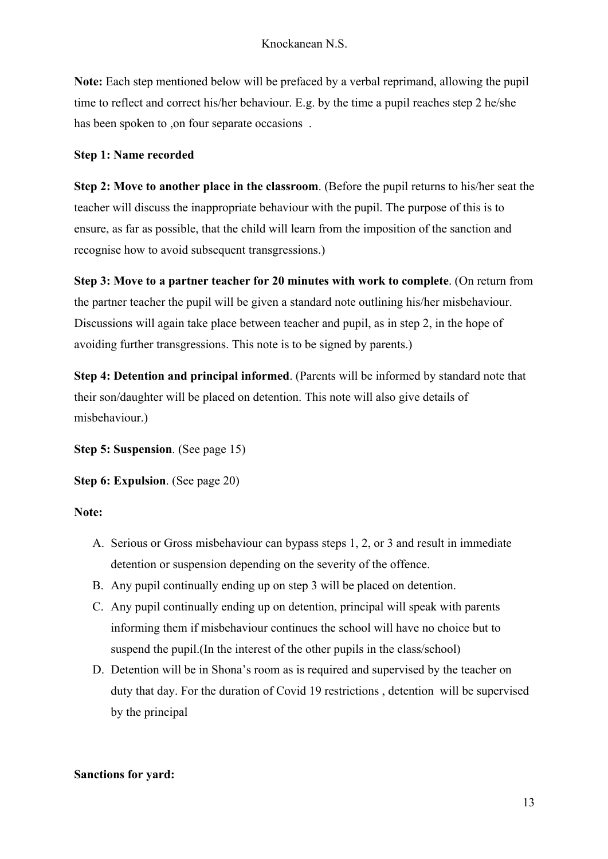**Note:** Each step mentioned below will be prefaced by a verbal reprimand, allowing the pupil time to reflect and correct his/her behaviour. E.g. by the time a pupil reaches step 2 he/she has been spoken to ,on four separate occasions .

#### **Step 1: Name recorded**

**Step 2: Move to another place in the classroom**. (Before the pupil returns to his/her seat the teacher will discuss the inappropriate behaviour with the pupil. The purpose of this is to ensure, as far as possible, that the child will learn from the imposition of the sanction and recognise how to avoid subsequent transgressions.)

**Step 3: Move to a partner teacher for 20 minutes with work to complete**. (On return from the partner teacher the pupil will be given a standard note outlining his/her misbehaviour. Discussions will again take place between teacher and pupil, as in step 2, in the hope of avoiding further transgressions. This note is to be signed by parents.)

**Step 4: Detention and principal informed**. (Parents will be informed by standard note that their son/daughter will be placed on detention. This note will also give details of misbehaviour.)

**Step 5: Suspension**. (See page 15)

**Step 6: Expulsion**. (See page 20)

#### **Note:**

- A. Serious or Gross misbehaviour can bypass steps 1, 2, or 3 and result in immediate detention or suspension depending on the severity of the offence.
- B. Any pupil continually ending up on step 3 will be placed on detention.
- C. Any pupil continually ending up on detention, principal will speak with parents informing them if misbehaviour continues the school will have no choice but to suspend the pupil.(In the interest of the other pupils in the class/school)
- D. Detention will be in Shona's room as is required and supervised by the teacher on duty that day. For the duration of Covid 19 restrictions , detention will be supervised by the principal

#### **Sanctions for yard:**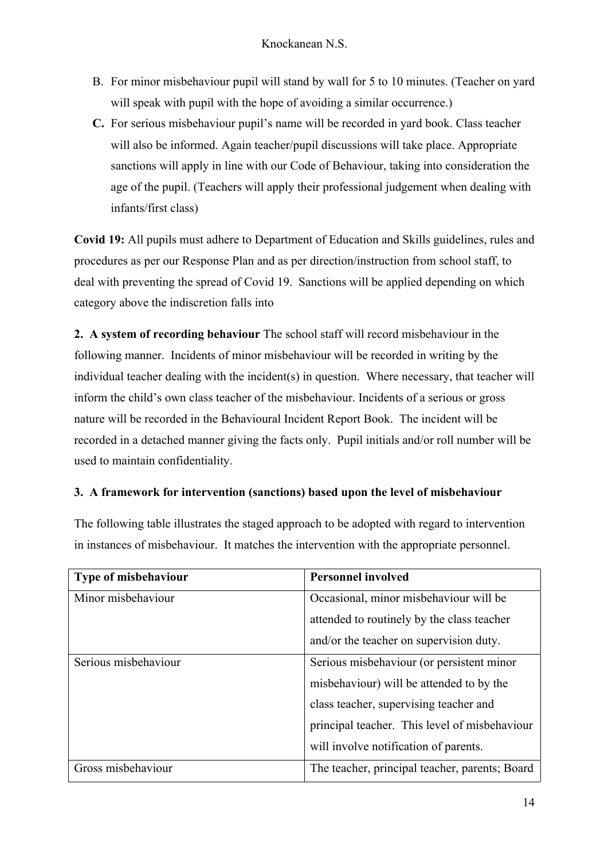- B. For minor misbehaviour pupil will stand by wall for 5 to 10 minutes. (Teacher on yard will speak with pupil with the hope of avoiding a similar occurrence.)
- **C.** For serious misbehaviour pupil's name will be recorded in yard book. Class teacher will also be informed. Again teacher/pupil discussions will take place. Appropriate sanctions will apply in line with our Code of Behaviour, taking into consideration the age of the pupil. (Teachers will apply their professional judgement when dealing with infants/first class)

**Covid 19:** All pupils must adhere to Department of Education and Skills guidelines, rules and procedures as per our Response Plan and as per direction/instruction from school staff, to deal with preventing the spread of Covid 19. Sanctions will be applied depending on which category above the indiscretion falls into

**2. A system of recording behaviour** The school staff will record misbehaviour in the following manner. Incidents of minor misbehaviour will be recorded in writing by the individual teacher dealing with the incident(s) in question. Where necessary, that teacher will inform the child's own class teacher of the misbehaviour. Incidents of a serious or gross nature will be recorded in the Behavioural Incident Report Book. The incident will be recorded in a detached manner giving the facts only. Pupil initials and/or roll number will be used to maintain confidentiality.

## **3. A framework for intervention (sanctions) based upon the level of misbehaviour**

The following table illustrates the staged approach to be adopted with regard to intervention in instances of misbehaviour. It matches the intervention with the appropriate personnel.

| <b>Type of misbehaviour</b> | <b>Personnel involved</b>                      |  |
|-----------------------------|------------------------------------------------|--|
| Minor misbehaviour          | Occasional, minor misbehaviour will be         |  |
|                             | attended to routinely by the class teacher     |  |
|                             | and/or the teacher on supervision duty.        |  |
| Serious misbehaviour        | Serious misbehaviour (or persistent minor      |  |
|                             | misbehaviour) will be attended to by the       |  |
|                             | class teacher, supervising teacher and         |  |
|                             | principal teacher. This level of misbehaviour  |  |
|                             | will involve notification of parents.          |  |
| Gross misbehaviour          | The teacher, principal teacher, parents; Board |  |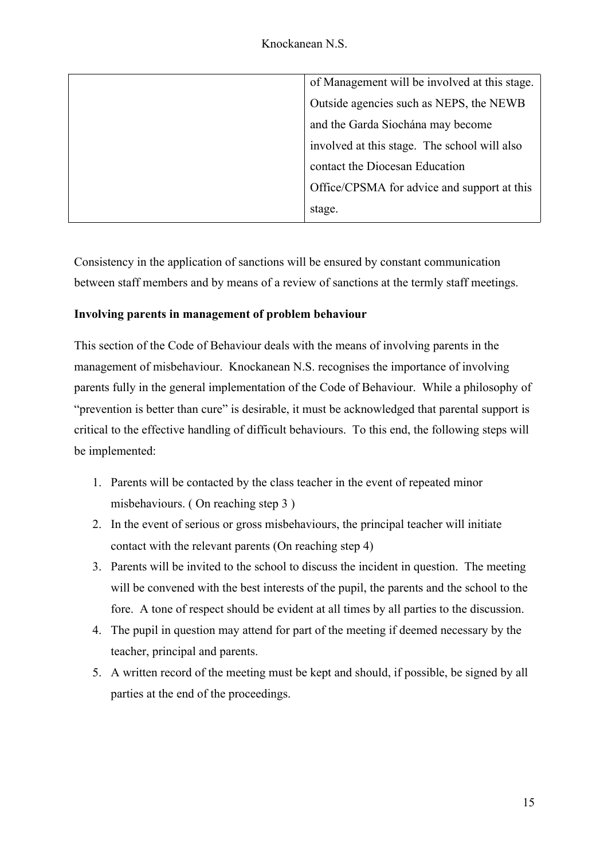| of Management will be involved at this stage. |
|-----------------------------------------------|
| Outside agencies such as NEPS, the NEWB       |
| and the Garda Siochána may become             |
| involved at this stage. The school will also  |
| contact the Diocesan Education                |
| Office/CPSMA for advice and support at this   |
| stage.                                        |

Consistency in the application of sanctions will be ensured by constant communication between staff members and by means of a review of sanctions at the termly staff meetings.

## **Involving parents in management of problem behaviour**

This section of the Code of Behaviour deals with the means of involving parents in the management of misbehaviour. Knockanean N.S. recognises the importance of involving parents fully in the general implementation of the Code of Behaviour. While a philosophy of "prevention is better than cure" is desirable, it must be acknowledged that parental support is critical to the effective handling of difficult behaviours. To this end, the following steps will be implemented:

- 1. Parents will be contacted by the class teacher in the event of repeated minor misbehaviours. ( On reaching step 3 )
- 2. In the event of serious or gross misbehaviours, the principal teacher will initiate contact with the relevant parents (On reaching step 4)
- 3. Parents will be invited to the school to discuss the incident in question. The meeting will be convened with the best interests of the pupil, the parents and the school to the fore. A tone of respect should be evident at all times by all parties to the discussion.
- 4. The pupil in question may attend for part of the meeting if deemed necessary by the teacher, principal and parents.
- 5. A written record of the meeting must be kept and should, if possible, be signed by all parties at the end of the proceedings.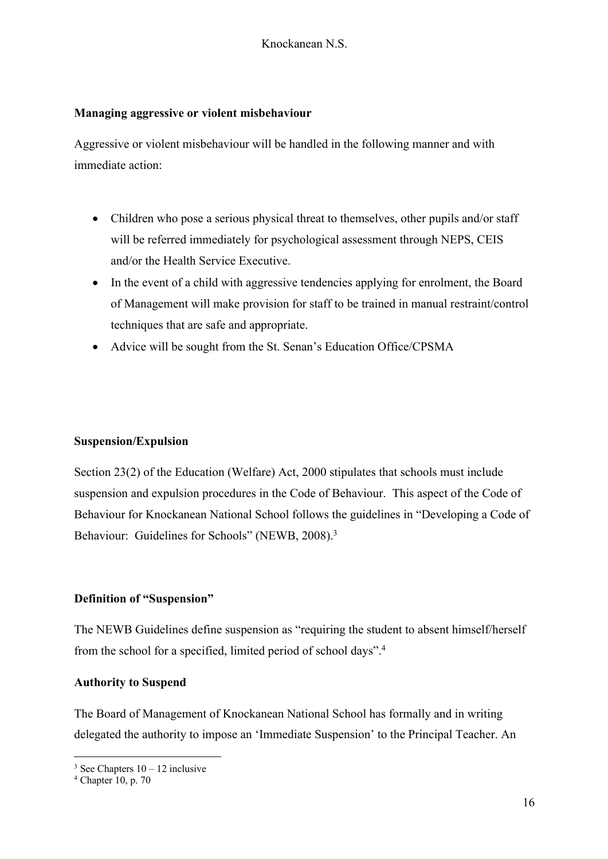#### **Managing aggressive or violent misbehaviour**

Aggressive or violent misbehaviour will be handled in the following manner and with immediate action:

- Children who pose a serious physical threat to themselves, other pupils and/or staff will be referred immediately for psychological assessment through NEPS, CEIS and/or the Health Service Executive.
- In the event of a child with aggressive tendencies applying for enrolment, the Board of Management will make provision for staff to be trained in manual restraint/control techniques that are safe and appropriate.
- Advice will be sought from the St. Senan's Education Office/CPSMA

### **Suspension/Expulsion**

Section 23(2) of the Education (Welfare) Act, 2000 stipulates that schools must include suspension and expulsion procedures in the Code of Behaviour. This aspect of the Code of Behaviour for Knockanean National School follows the guidelines in "Developing a Code of Behaviour: Guidelines for Schools" (NEWB, 2008).<sup>3</sup>

### **Definition of "Suspension"**

The NEWB Guidelines define suspension as "requiring the student to absent himself/herself from the school for a specified, limited period of school days".4

### **Authority to Suspend**

The Board of Management of Knockanean National School has formally and in writing delegated the authority to impose an 'Immediate Suspension' to the Principal Teacher. An

 $3$  See Chapters  $10 - 12$  inclusive

 $4$  Chapter 10, p. 70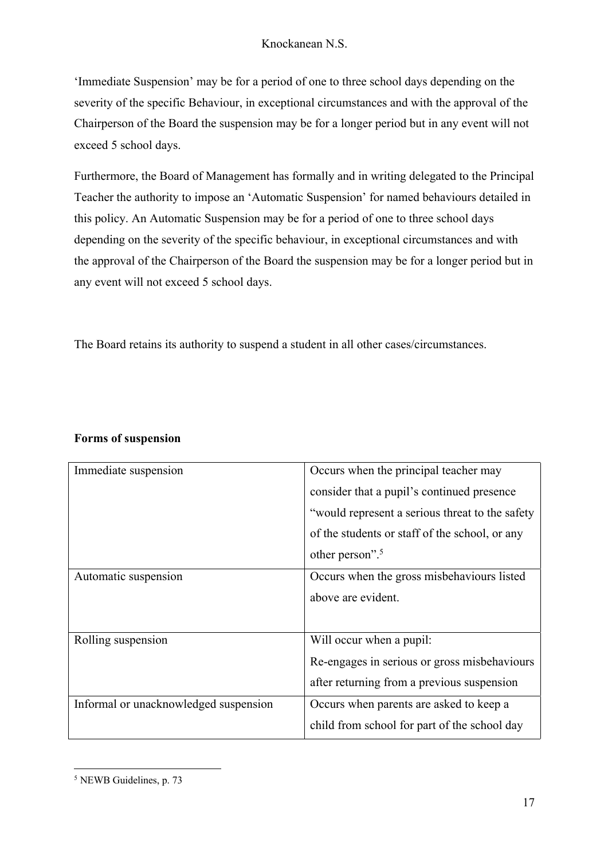'Immediate Suspension' may be for a period of one to three school days depending on the severity of the specific Behaviour, in exceptional circumstances and with the approval of the Chairperson of the Board the suspension may be for a longer period but in any event will not exceed 5 school days.

Furthermore, the Board of Management has formally and in writing delegated to the Principal Teacher the authority to impose an 'Automatic Suspension' for named behaviours detailed in this policy. An Automatic Suspension may be for a period of one to three school days depending on the severity of the specific behaviour, in exceptional circumstances and with the approval of the Chairperson of the Board the suspension may be for a longer period but in any event will not exceed 5 school days.

The Board retains its authority to suspend a student in all other cases/circumstances.

| Immediate suspension                  | Occurs when the principal teacher may           |
|---------------------------------------|-------------------------------------------------|
|                                       | consider that a pupil's continued presence      |
|                                       | "would represent a serious threat to the safety |
|                                       | of the students or staff of the school, or any  |
|                                       | other person". <sup>5</sup>                     |
| Automatic suspension                  | Occurs when the gross misbehaviours listed      |
|                                       | above are evident.                              |
|                                       |                                                 |
| Rolling suspension                    | Will occur when a pupil:                        |
|                                       | Re-engages in serious or gross misbehaviours    |
|                                       | after returning from a previous suspension      |
| Informal or unacknowledged suspension | Occurs when parents are asked to keep a         |
|                                       | child from school for part of the school day    |

### **Forms of suspension**

<sup>5</sup> NEWB Guidelines, p. 73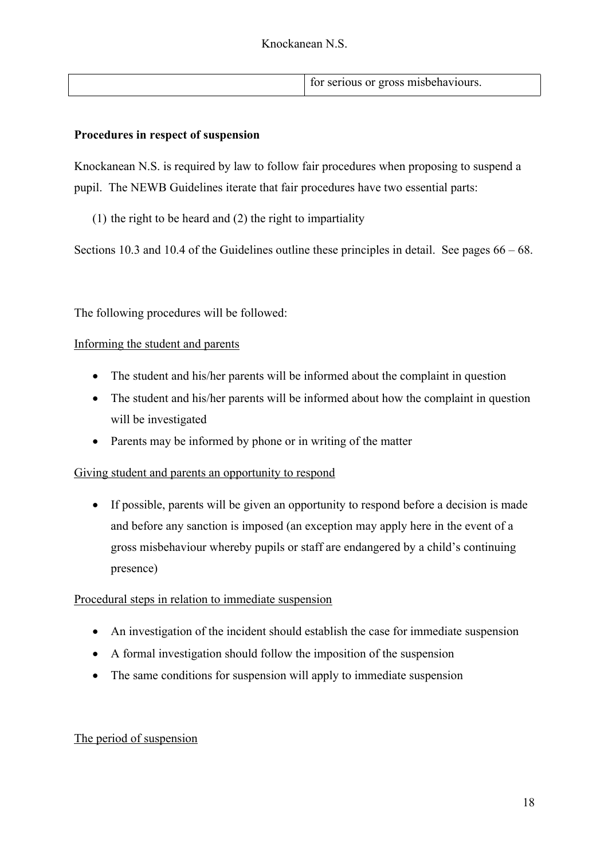| for serious or gross misbehaviours. |  |  |
|-------------------------------------|--|--|
|                                     |  |  |

#### **Procedures in respect of suspension**

Knockanean N.S. is required by law to follow fair procedures when proposing to suspend a pupil. The NEWB Guidelines iterate that fair procedures have two essential parts:

(1) the right to be heard and (2) the right to impartiality

Sections 10.3 and 10.4 of the Guidelines outline these principles in detail. See pages 66 – 68.

The following procedures will be followed:

#### Informing the student and parents

- The student and his/her parents will be informed about the complaint in question
- The student and his/her parents will be informed about how the complaint in question will be investigated
- Parents may be informed by phone or in writing of the matter

### Giving student and parents an opportunity to respond

• If possible, parents will be given an opportunity to respond before a decision is made and before any sanction is imposed (an exception may apply here in the event of a gross misbehaviour whereby pupils or staff are endangered by a child's continuing presence)

#### Procedural steps in relation to immediate suspension

- An investigation of the incident should establish the case for immediate suspension
- A formal investigation should follow the imposition of the suspension
- The same conditions for suspension will apply to immediate suspension

### The period of suspension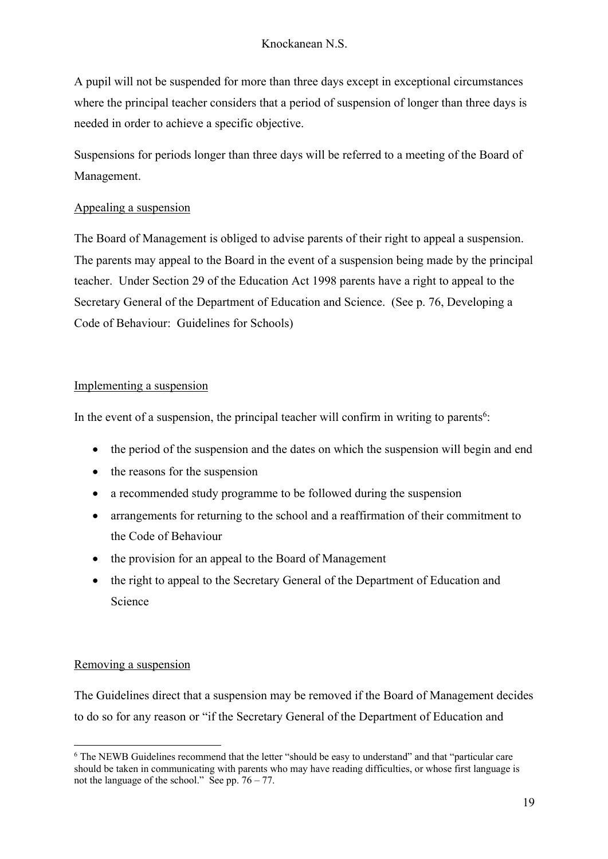A pupil will not be suspended for more than three days except in exceptional circumstances where the principal teacher considers that a period of suspension of longer than three days is needed in order to achieve a specific objective.

Suspensions for periods longer than three days will be referred to a meeting of the Board of Management.

### Appealing a suspension

The Board of Management is obliged to advise parents of their right to appeal a suspension. The parents may appeal to the Board in the event of a suspension being made by the principal teacher. Under Section 29 of the Education Act 1998 parents have a right to appeal to the Secretary General of the Department of Education and Science. (See p. 76, Developing a Code of Behaviour: Guidelines for Schools)

### Implementing a suspension

In the event of a suspension, the principal teacher will confirm in writing to parents<sup>6</sup>:

- the period of the suspension and the dates on which the suspension will begin and end
- the reasons for the suspension
- a recommended study programme to be followed during the suspension
- arrangements for returning to the school and a reaffirmation of their commitment to the Code of Behaviour
- the provision for an appeal to the Board of Management
- the right to appeal to the Secretary General of the Department of Education and Science

### Removing a suspension

The Guidelines direct that a suspension may be removed if the Board of Management decides to do so for any reason or "if the Secretary General of the Department of Education and

<sup>&</sup>lt;sup>6</sup> The NEWB Guidelines recommend that the letter "should be easy to understand" and that "particular care should be taken in communicating with parents who may have reading difficulties, or whose first language is not the language of the school." See pp.  $76 - 77$ .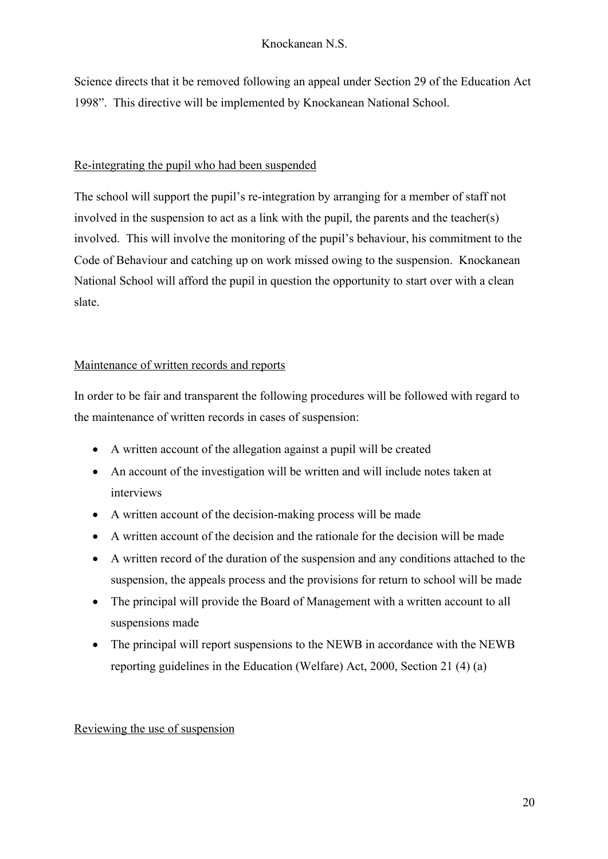Science directs that it be removed following an appeal under Section 29 of the Education Act 1998". This directive will be implemented by Knockanean National School.

## Re-integrating the pupil who had been suspended

The school will support the pupil's re-integration by arranging for a member of staff not involved in the suspension to act as a link with the pupil, the parents and the teacher(s) involved. This will involve the monitoring of the pupil's behaviour, his commitment to the Code of Behaviour and catching up on work missed owing to the suspension. Knockanean National School will afford the pupil in question the opportunity to start over with a clean slate.

## Maintenance of written records and reports

In order to be fair and transparent the following procedures will be followed with regard to the maintenance of written records in cases of suspension:

- A written account of the allegation against a pupil will be created
- An account of the investigation will be written and will include notes taken at interviews
- A written account of the decision-making process will be made
- A written account of the decision and the rationale for the decision will be made
- A written record of the duration of the suspension and any conditions attached to the suspension, the appeals process and the provisions for return to school will be made
- The principal will provide the Board of Management with a written account to all suspensions made
- The principal will report suspensions to the NEWB in accordance with the NEWB reporting guidelines in the Education (Welfare) Act, 2000, Section 21 (4) (a)

## Reviewing the use of suspension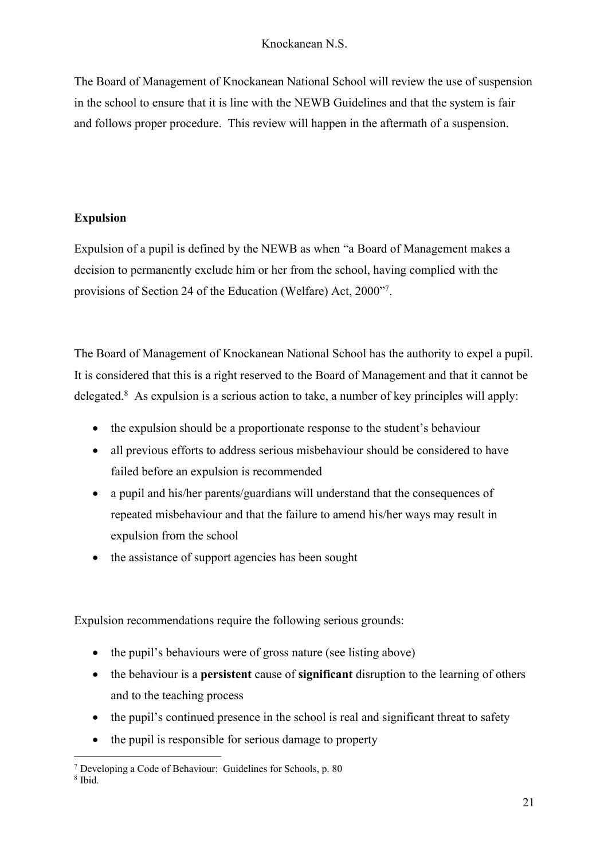The Board of Management of Knockanean National School will review the use of suspension in the school to ensure that it is line with the NEWB Guidelines and that the system is fair and follows proper procedure. This review will happen in the aftermath of a suspension.

## **Expulsion**

Expulsion of a pupil is defined by the NEWB as when "a Board of Management makes a decision to permanently exclude him or her from the school, having complied with the provisions of Section 24 of the Education (Welfare) Act, 2000"7.

The Board of Management of Knockanean National School has the authority to expel a pupil. It is considered that this is a right reserved to the Board of Management and that it cannot be delegated.8 As expulsion is a serious action to take, a number of key principles will apply:

- the expulsion should be a proportionate response to the student's behaviour
- all previous efforts to address serious misbehaviour should be considered to have failed before an expulsion is recommended
- a pupil and his/her parents/guardians will understand that the consequences of repeated misbehaviour and that the failure to amend his/her ways may result in expulsion from the school
- the assistance of support agencies has been sought

Expulsion recommendations require the following serious grounds:

- the pupil's behaviours were of gross nature (see listing above)
- the behaviour is a **persistent** cause of **significant** disruption to the learning of others and to the teaching process
- the pupil's continued presence in the school is real and significant threat to safety
- the pupil is responsible for serious damage to property

<sup>7</sup> Developing a Code of Behaviour: Guidelines for Schools, p. 80

 $8$  Ibid.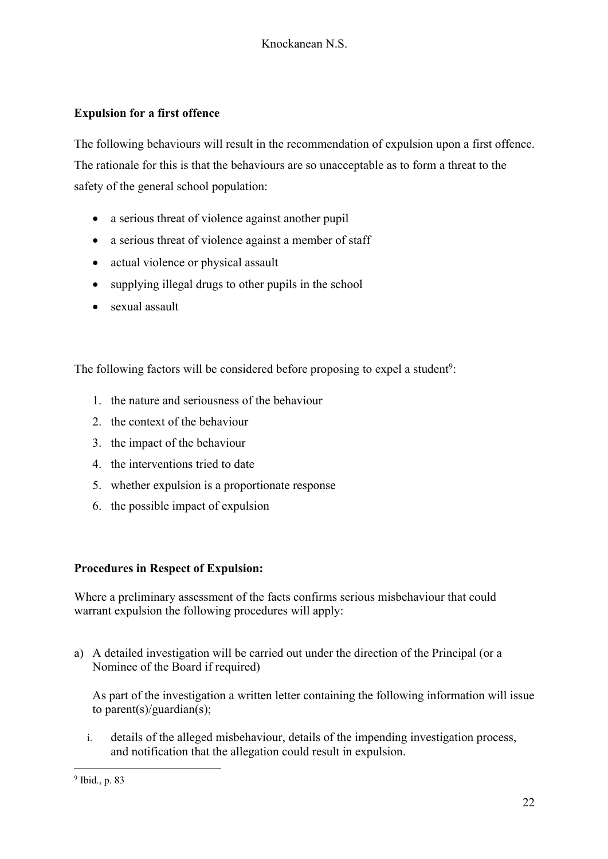## **Expulsion for a first offence**

The following behaviours will result in the recommendation of expulsion upon a first offence. The rationale for this is that the behaviours are so unacceptable as to form a threat to the safety of the general school population:

- a serious threat of violence against another pupil
- a serious threat of violence against a member of staff
- actual violence or physical assault
- supplying illegal drugs to other pupils in the school
- sexual assault

The following factors will be considered before proposing to expel a student<sup>9</sup>:

- 1. the nature and seriousness of the behaviour
- 2. the context of the behaviour
- 3. the impact of the behaviour
- 4. the interventions tried to date
- 5. whether expulsion is a proportionate response
- 6. the possible impact of expulsion

## **Procedures in Respect of Expulsion:**

Where a preliminary assessment of the facts confirms serious misbehaviour that could warrant expulsion the following procedures will apply:

a) A detailed investigation will be carried out under the direction of the Principal (or a Nominee of the Board if required)

As part of the investigation a written letter containing the following information will issue to parent(s)/guardian(s);

i. details of the alleged misbehaviour, details of the impending investigation process, and notification that the allegation could result in expulsion.

<sup>9</sup> Ibid., p. 83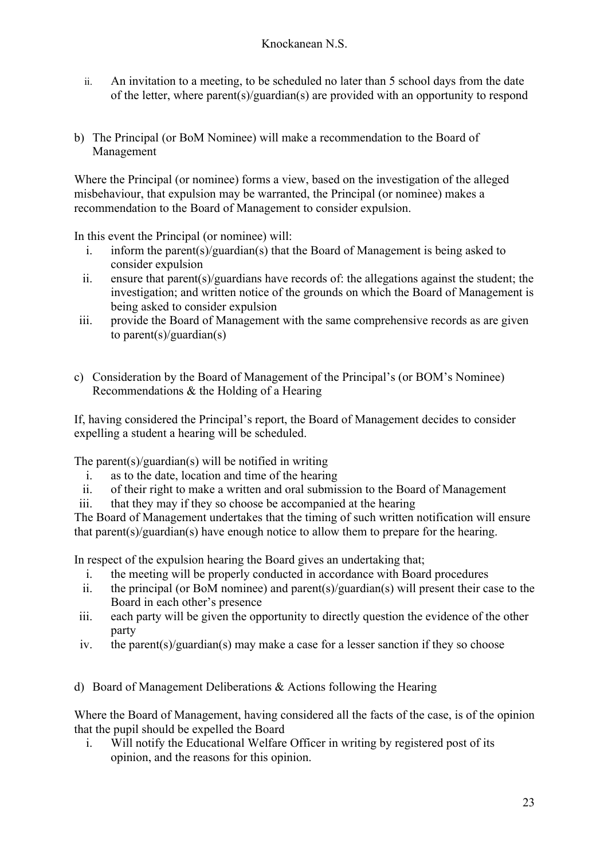- ii. An invitation to a meeting, to be scheduled no later than 5 school days from the date of the letter, where parent(s)/guardian(s) are provided with an opportunity to respond
- b) The Principal (or BoM Nominee) will make a recommendation to the Board of Management

Where the Principal (or nominee) forms a view, based on the investigation of the alleged misbehaviour, that expulsion may be warranted, the Principal (or nominee) makes a recommendation to the Board of Management to consider expulsion.

In this event the Principal (or nominee) will:

- i. inform the parent(s)/guardian(s) that the Board of Management is being asked to consider expulsion
- ii. ensure that parent(s)/guardians have records of: the allegations against the student; the investigation; and written notice of the grounds on which the Board of Management is being asked to consider expulsion
- iii. provide the Board of Management with the same comprehensive records as are given to parent(s)/guardian(s)
- c) Consideration by the Board of Management of the Principal's (or BOM's Nominee) Recommendations & the Holding of a Hearing

If, having considered the Principal's report, the Board of Management decides to consider expelling a student a hearing will be scheduled.

The parent(s)/guardian(s) will be notified in writing

- i. as to the date, location and time of the hearing
- ii. of their right to make a written and oral submission to the Board of Management
- iii. that they may if they so choose be accompanied at the hearing

The Board of Management undertakes that the timing of such written notification will ensure that parent(s)/guardian(s) have enough notice to allow them to prepare for the hearing.

In respect of the expulsion hearing the Board gives an undertaking that;

- i. the meeting will be properly conducted in accordance with Board procedures
- ii. the principal (or BoM nominee) and parent(s)/guardian(s) will present their case to the Board in each other's presence
- iii. each party will be given the opportunity to directly question the evidence of the other party
- iv. the parent(s)/guardian(s) may make a case for a lesser sanction if they so choose

d) Board of Management Deliberations & Actions following the Hearing

Where the Board of Management, having considered all the facts of the case, is of the opinion that the pupil should be expelled the Board

i. Will notify the Educational Welfare Officer in writing by registered post of its opinion, and the reasons for this opinion.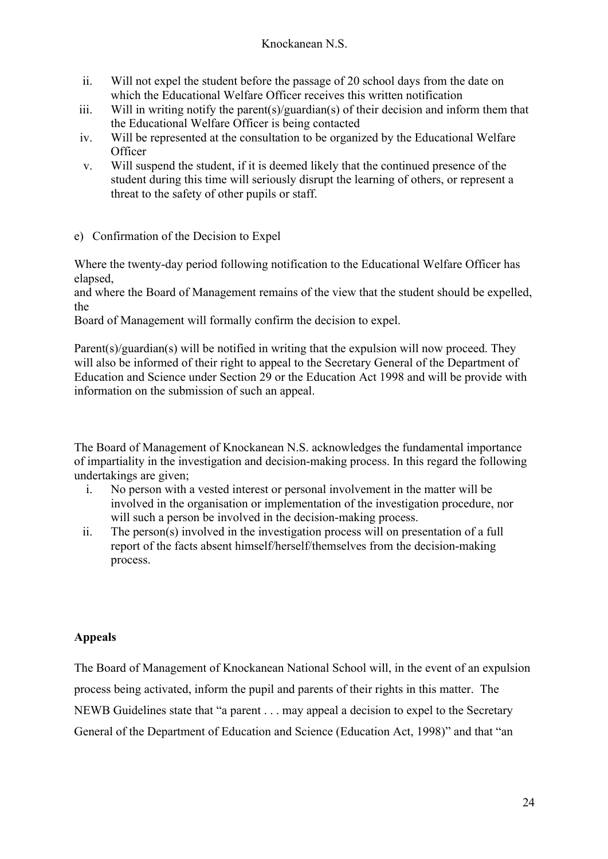- ii. Will not expel the student before the passage of 20 school days from the date on which the Educational Welfare Officer receives this written notification
- iii. Will in writing notify the parent(s)/guardian(s) of their decision and inform them that the Educational Welfare Officer is being contacted
- iv. Will be represented at the consultation to be organized by the Educational Welfare **Officer**
- v. Will suspend the student, if it is deemed likely that the continued presence of the student during this time will seriously disrupt the learning of others, or represent a threat to the safety of other pupils or staff.
- e) Confirmation of the Decision to Expel

Where the twenty-day period following notification to the Educational Welfare Officer has elapsed,

and where the Board of Management remains of the view that the student should be expelled, the

Board of Management will formally confirm the decision to expel.

Parent(s)/guardian(s) will be notified in writing that the expulsion will now proceed. They will also be informed of their right to appeal to the Secretary General of the Department of Education and Science under Section 29 or the Education Act 1998 and will be provide with information on the submission of such an appeal.

The Board of Management of Knockanean N.S. acknowledges the fundamental importance of impartiality in the investigation and decision-making process. In this regard the following undertakings are given;

- i. No person with a vested interest or personal involvement in the matter will be involved in the organisation or implementation of the investigation procedure, nor will such a person be involved in the decision-making process.
- ii. The person(s) involved in the investigation process will on presentation of a full report of the facts absent himself/herself/themselves from the decision-making process.

## **Appeals**

The Board of Management of Knockanean National School will, in the event of an expulsion process being activated, inform the pupil and parents of their rights in this matter. The NEWB Guidelines state that "a parent . . . may appeal a decision to expel to the Secretary General of the Department of Education and Science (Education Act, 1998)" and that "an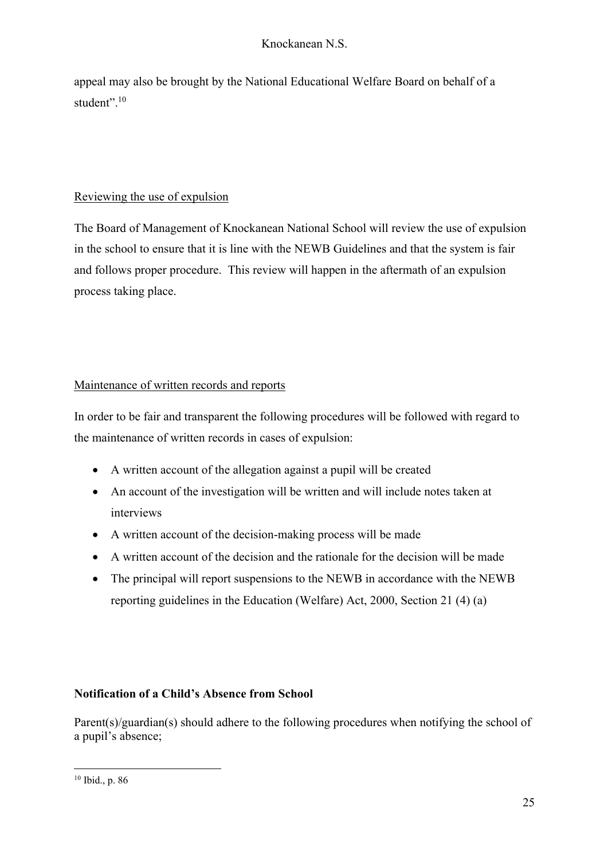appeal may also be brought by the National Educational Welfare Board on behalf of a student".<sup>10</sup>

## Reviewing the use of expulsion

The Board of Management of Knockanean National School will review the use of expulsion in the school to ensure that it is line with the NEWB Guidelines and that the system is fair and follows proper procedure. This review will happen in the aftermath of an expulsion process taking place.

## Maintenance of written records and reports

In order to be fair and transparent the following procedures will be followed with regard to the maintenance of written records in cases of expulsion:

- A written account of the allegation against a pupil will be created
- An account of the investigation will be written and will include notes taken at interviews
- A written account of the decision-making process will be made
- A written account of the decision and the rationale for the decision will be made
- The principal will report suspensions to the NEWB in accordance with the NEWB reporting guidelines in the Education (Welfare) Act, 2000, Section 21 (4) (a)

## **Notification of a Child's Absence from School**

Parent(s)/guardian(s) should adhere to the following procedures when notifying the school of a pupil's absence;

<sup>10</sup> Ibid., p. 86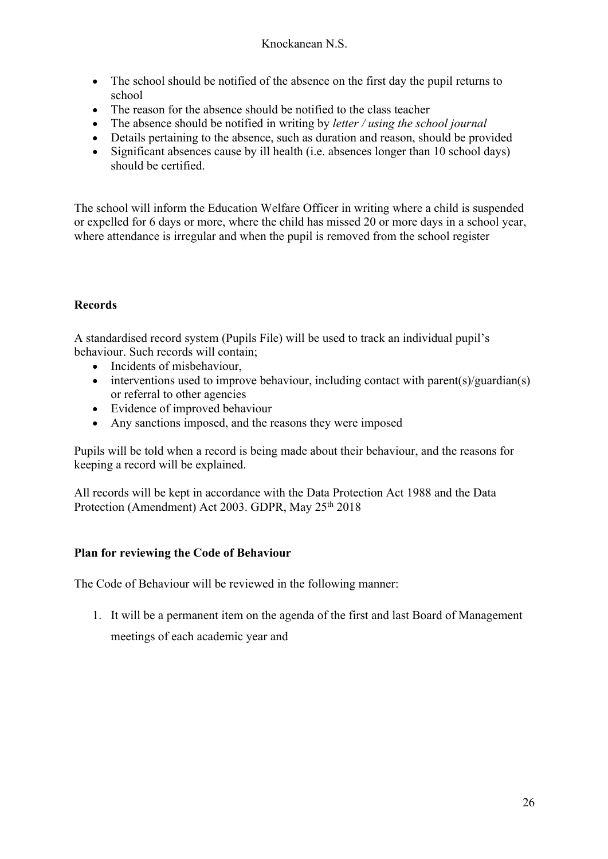- The school should be notified of the absence on the first day the pupil returns to school
- The reason for the absence should be notified to the class teacher
- The absence should be notified in writing by *letter / using the school journal*
- Details pertaining to the absence, such as duration and reason, should be provided
- Significant absences cause by ill health (i.e. absences longer than 10 school days) should be certified.

The school will inform the Education Welfare Officer in writing where a child is suspended or expelled for 6 days or more, where the child has missed 20 or more days in a school year, where attendance is irregular and when the pupil is removed from the school register

# **Records**

A standardised record system (Pupils File) will be used to track an individual pupil's behaviour. Such records will contain;

- Incidents of misbehaviour,
- interventions used to improve behaviour, including contact with parent(s)/guardian(s) or referral to other agencies
- Evidence of improved behaviour
- Any sanctions imposed, and the reasons they were imposed

Pupils will be told when a record is being made about their behaviour, and the reasons for keeping a record will be explained.

All records will be kept in accordance with the Data Protection Act 1988 and the Data Protection (Amendment) Act 2003. GDPR, May 25<sup>th</sup> 2018

## **Plan for reviewing the Code of Behaviour**

The Code of Behaviour will be reviewed in the following manner:

1. It will be a permanent item on the agenda of the first and last Board of Management meetings of each academic year and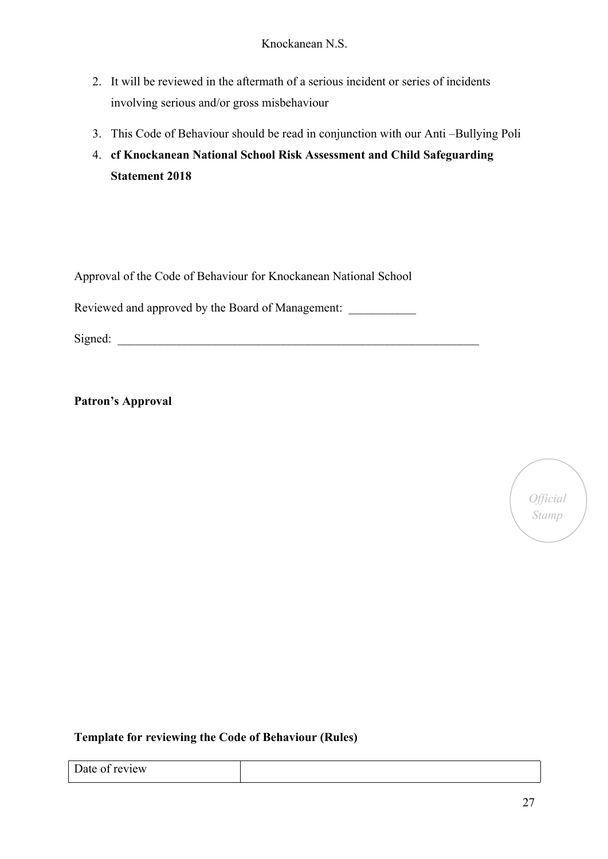- 2. It will be reviewed in the aftermath of a serious incident or series of incidents involving serious and/or gross misbehaviour
- 3. This Code of Behaviour should be read in conjunction with our Anti –Bullying Poli
- 4. **cf Knockanean National School Risk Assessment and Child Safeguarding Statement 2018**

Approval of the Code of Behaviour for Knockanean National School

Reviewed and approved by the Board of Management:

 $Signal:$ 

**Patron's Approval**



### **Template for reviewing the Code of Behaviour (Rules)**

| $\overline{\phantom{a}}$<br>Date of review<br>_ |  |
|-------------------------------------------------|--|
|                                                 |  |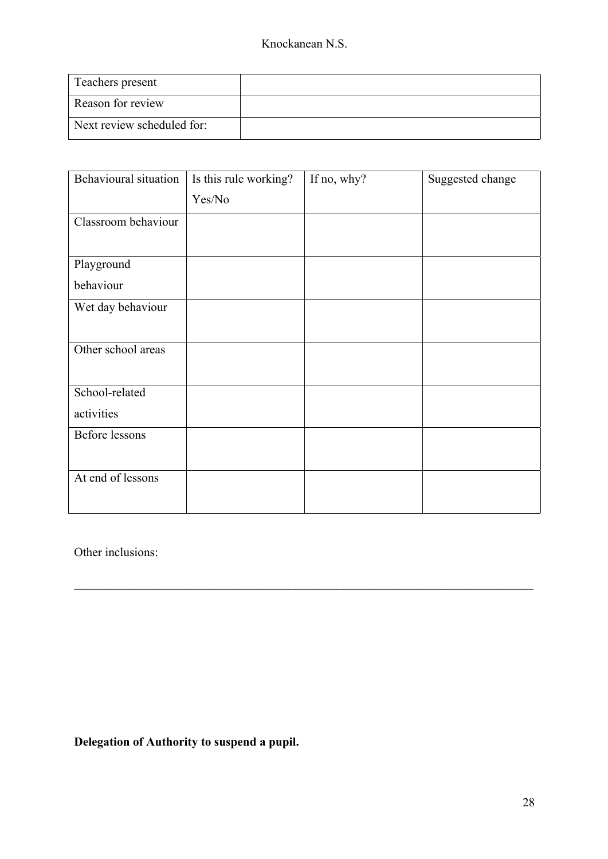| Teachers present           |  |
|----------------------------|--|
| Reason for review          |  |
| Next review scheduled for: |  |

| Behavioural situation | Is this rule working? | If no, why? | Suggested change |
|-----------------------|-----------------------|-------------|------------------|
|                       | Yes/No                |             |                  |
| Classroom behaviour   |                       |             |                  |
|                       |                       |             |                  |
| Playground            |                       |             |                  |
| behaviour             |                       |             |                  |
| Wet day behaviour     |                       |             |                  |
|                       |                       |             |                  |
| Other school areas    |                       |             |                  |
|                       |                       |             |                  |
| School-related        |                       |             |                  |
| activities            |                       |             |                  |
| <b>Before lessons</b> |                       |             |                  |
|                       |                       |             |                  |
| At end of lessons     |                       |             |                  |
|                       |                       |             |                  |

Other inclusions:

**Delegation of Authority to suspend a pupil.**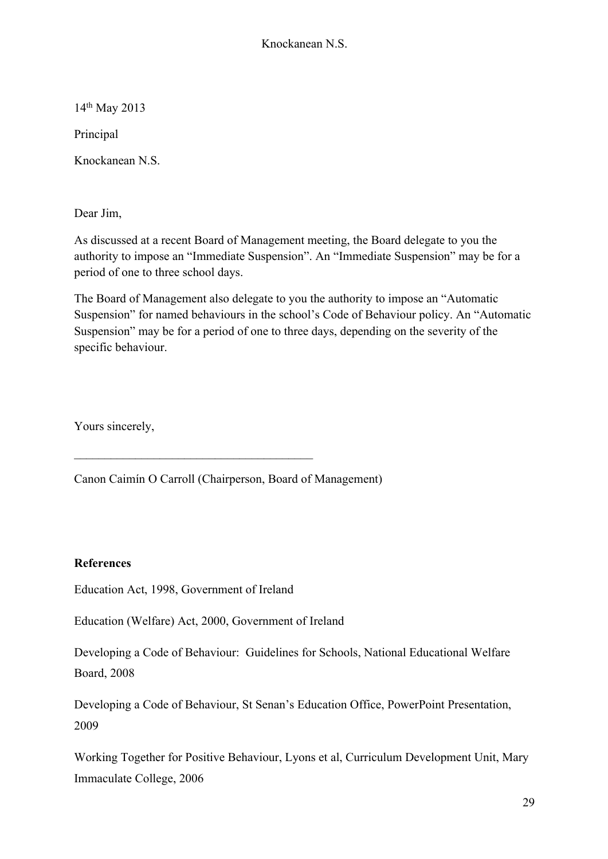14th May 2013

Principal

Knockanean N.S.

Dear Jim,

As discussed at a recent Board of Management meeting, the Board delegate to you the authority to impose an "Immediate Suspension". An "Immediate Suspension" may be for a period of one to three school days.

The Board of Management also delegate to you the authority to impose an "Automatic Suspension" for named behaviours in the school's Code of Behaviour policy. An "Automatic Suspension" may be for a period of one to three days, depending on the severity of the specific behaviour.

Yours sincerely,

Canon Caimín O Carroll (Chairperson, Board of Management)

### **References**

Education Act, 1998, Government of Ireland

Education (Welfare) Act, 2000, Government of Ireland

Developing a Code of Behaviour: Guidelines for Schools, National Educational Welfare Board, 2008

Developing a Code of Behaviour, St Senan's Education Office, PowerPoint Presentation, 2009

Working Together for Positive Behaviour, Lyons et al, Curriculum Development Unit, Mary Immaculate College, 2006